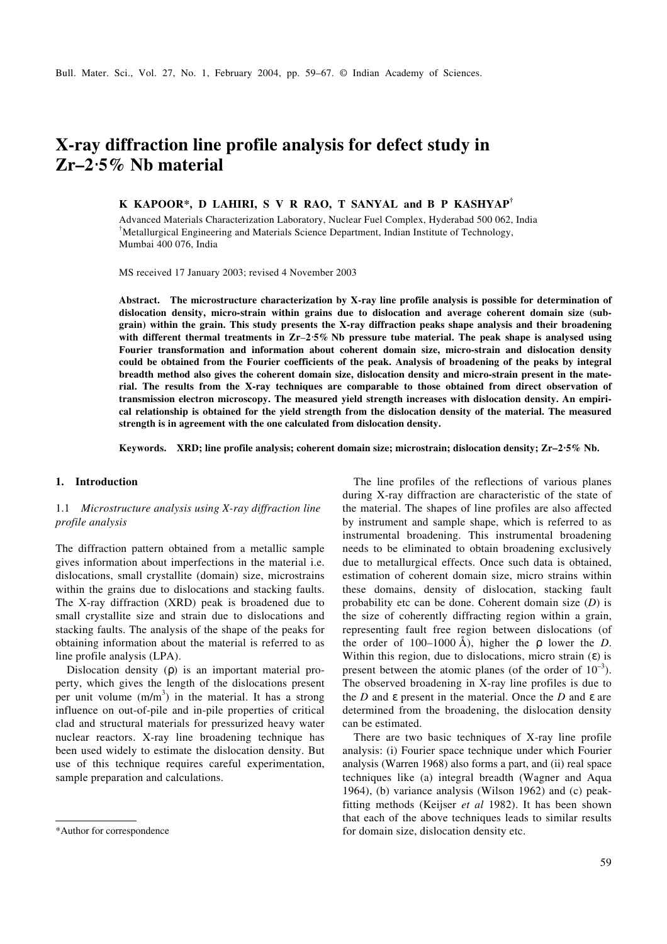# **X-ray diffraction line profile analysis for defect study in Zr–2**⋅**5% Nb material**

**K KAPOOR\*, D LAHIRI, S V R RAO, T SANYAL and B P KASHYAP†**

Advanced Materials Characterization Laboratory, Nuclear Fuel Complex, Hyderabad 500 062, India †Metallurgical Engineering and Materials Science Department, Indian Institute of Technology, Mumbai 400 076, India

MS received 17 January 2003; revised 4 November 2003

**Abstract. The microstructure characterization by X-ray line profile analysis is possible for determination of dislocation density, micro-strain within grains due to dislocation and average coherent domain size (subgrain) within the grain. This study presents the X-ray diffraction peaks shape analysis and their broadening with different thermal treatments in Zr**–**2**⋅**5% Nb pressure tube material. The peak shape is analysed using Fourier transformation and information about coherent domain size, micro-strain and dislocation density could be obtained from the Fourier coefficients of the peak. Analysis of broadening of the peaks by integral breadth method also gives the coherent domain size, dislocation density and micro-strain present in the material. The results from the X-ray techniques are comparable to those obtained from direct observation of transmission electron microscopy. The measured yield strength increases with dislocation density. An empirical relationship is obtained for the yield strength from the dislocation density of the material. The measured strength is in agreement with the one calculated from dislocation density.**

**Keywords. XRD; line profile analysis; coherent domain size; microstrain; dislocation density; Zr–2**⋅**5% Nb.**

## **1. Introduction**

# 1.1 *Microstructure analysis using X-ray diffraction line profile analysis*

The diffraction pattern obtained from a metallic sample gives information about imperfections in the material i.e. dislocations, small crystallite (domain) size, microstrains within the grains due to dislocations and stacking faults. The X-ray diffraction (XRD) peak is broadened due to small crystallite size and strain due to dislocations and stacking faults. The analysis of the shape of the peaks for obtaining information about the material is referred to as line profile analysis (LPA).

Dislocation density (ρ) is an important material property, which gives the length of the dislocations present per unit volume  $(m/m<sup>3</sup>)$  in the material. It has a strong influence on out-of-pile and in-pile properties of critical clad and structural materials for pressurized heavy water nuclear reactors. X-ray line broadening technique has been used widely to estimate the dislocation density. But use of this technique requires careful experimentation, sample preparation and calculations.

The line profiles of the reflections of various planes during X-ray diffraction are characteristic of the state of the material. The shapes of line profiles are also affected by instrument and sample shape, which is referred to as instrumental broadening. This instrumental broadening needs to be eliminated to obtain broadening exclusively due to metallurgical effects. Once such data is obtained, estimation of coherent domain size, micro strains within these domains, density of dislocation, stacking fault probability etc can be done. Coherent domain size (*D*) is the size of coherently diffracting region within a grain, representing fault free region between dislocations (of the order of 100–1000 Å), higher the  $\rho$  lower the *D*. Within this region, due to dislocations, micro strain  $(\varepsilon)$  is present between the atomic planes (of the order of  $10^{-3}$ ). The observed broadening in X-ray line profiles is due to the *D* and ε present in the material. Once the *D* and ε are determined from the broadening, the dislocation density can be estimated.

There are two basic techniques of X-ray line profile analysis: (i) Fourier space technique under which Fourier analysis (Warren 1968) also forms a part, and (ii) real space techniques like (a) integral breadth (Wagner and Aqua 1964), (b) variance analysis (Wilson 1962) and (c) peakfitting methods (Keijser *et al* 1982). It has been shown that each of the above techniques leads to similar results \*Author for correspondence for domain size, dislocation density etc.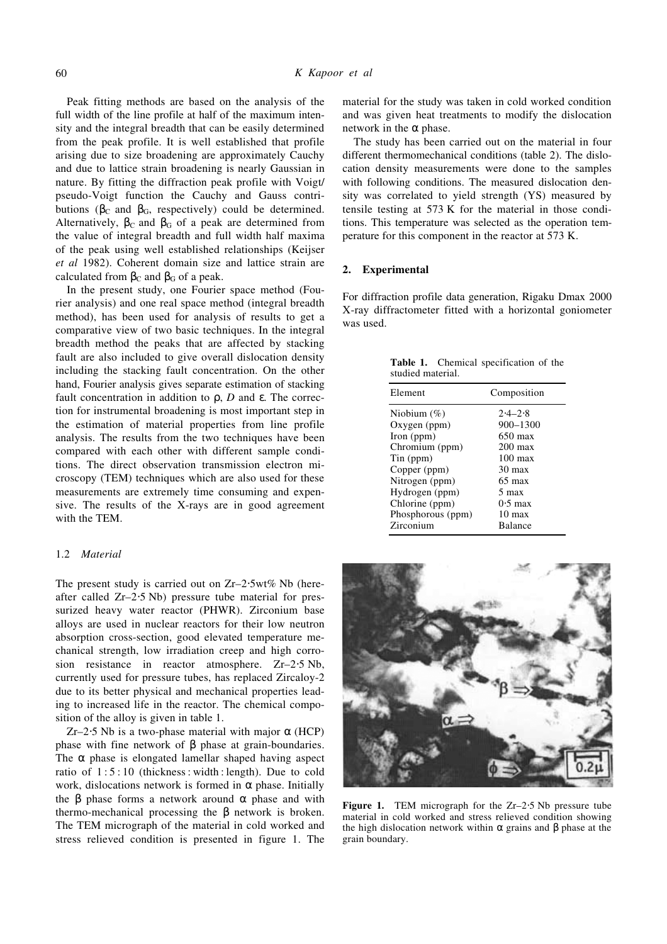Peak fitting methods are based on the analysis of the full width of the line profile at half of the maximum intensity and the integral breadth that can be easily determined from the peak profile. It is well established that profile arising due to size broadening are approximately Cauchy and due to lattice strain broadening is nearly Gaussian in nature. By fitting the diffraction peak profile with Voigt/ pseudo-Voigt function the Cauchy and Gauss contributions ( $β<sub>C</sub>$  and  $β<sub>G</sub>$ , respectively) could be determined. Alternatively,  $\beta_c$  and  $\beta_d$  of a peak are determined from the value of integral breadth and full width half maxima of the peak using well established relationships (Keijser *et al* 1982). Coherent domain size and lattice strain are calculated from  $\beta_c$  and  $\beta_d$  of a peak.

In the present study, one Fourier space method (Fourier analysis) and one real space method (integral breadth method), has been used for analysis of results to get a comparative view of two basic techniques. In the integral breadth method the peaks that are affected by stacking fault are also included to give overall dislocation density including the stacking fault concentration. On the other hand, Fourier analysis gives separate estimation of stacking fault concentration in addition to ρ, *D* and ε. The correction for instrumental broadening is most important step in the estimation of material properties from line profile analysis. The results from the two techniques have been compared with each other with different sample conditions. The direct observation transmission electron microscopy (TEM) techniques which are also used for these measurements are extremely time consuming and expensive. The results of the X-rays are in good agreement with the TEM.

#### 1.2 *Material*

The present study is carried out on Zr–2⋅5wt% Nb (hereafter called Zr–2⋅5 Nb) pressure tube material for pressurized heavy water reactor (PHWR). Zirconium base alloys are used in nuclear reactors for their low neutron absorption cross-section, good elevated temperature mechanical strength, low irradiation creep and high corrosion resistance in reactor atmosphere. Zr–2⋅5 Nb, currently used for pressure tubes, has replaced Zircaloy-2 due to its better physical and mechanical properties leading to increased life in the reactor. The chemical composition of the alloy is given in table 1.

Zr–2⋅5 Nb is a two-phase material with major  $\alpha$  (HCP) phase with fine network of β phase at grain-boundaries. The  $\alpha$  phase is elongated lamellar shaped having aspect ratio of  $1:5:10$  (thickness: width: length). Due to cold work, dislocations network is formed in  $\alpha$  phase. Initially the  $\beta$  phase forms a network around  $\alpha$  phase and with thermo-mechanical processing the β network is broken. The TEM micrograph of the material in cold worked and stress relieved condition is presented in figure 1. The material for the study was taken in cold worked condition and was given heat treatments to modify the dislocation network in the  $\alpha$  phase.

The study has been carried out on the material in four different thermomechanical conditions (table 2). The dislocation density measurements were done to the samples with following conditions. The measured dislocation density was correlated to yield strength (YS) measured by tensile testing at 573 K for the material in those conditions. This temperature was selected as the operation temperature for this component in the reactor at 573 K.

#### **2. Experimental**

For diffraction profile data generation, Rigaku Dmax 2000 X-ray diffractometer fitted with a horizontal goniometer was used.

|                   | <b>Table 1.</b> Chemical specification of the |  |
|-------------------|-----------------------------------------------|--|
| studied material. |                                               |  |

| Element                                                                                                                                                                                   | Composition                                                                                                                                                                |
|-------------------------------------------------------------------------------------------------------------------------------------------------------------------------------------------|----------------------------------------------------------------------------------------------------------------------------------------------------------------------------|
| Niobium $(\%)$<br>$Oxygen$ (ppm)<br>$\Gamma$ (ppm)<br>Chromium (ppm)<br>Tin (ppm)<br>Copper (ppm)<br>Nitrogen (ppm)<br>Hydrogen (ppm)<br>Chlorine (ppm)<br>Phosphorous (ppm)<br>Zirconium | $2.4 - 2.8$<br>900-1300<br>$650$ max<br>$200$ max<br>$100$ max<br>$30 \text{ max}$<br>$65 \text{ max}$<br>5 max<br>$0.5 \text{ max}$<br>$10 \text{ max}$<br><b>Balance</b> |
|                                                                                                                                                                                           |                                                                                                                                                                            |



**Figure 1.** TEM micrograph for the Zr–2⋅5 Nb pressure tube material in cold worked and stress relieved condition showing the high dislocation network within  $\alpha$  grains and  $\beta$  phase at the grain boundary.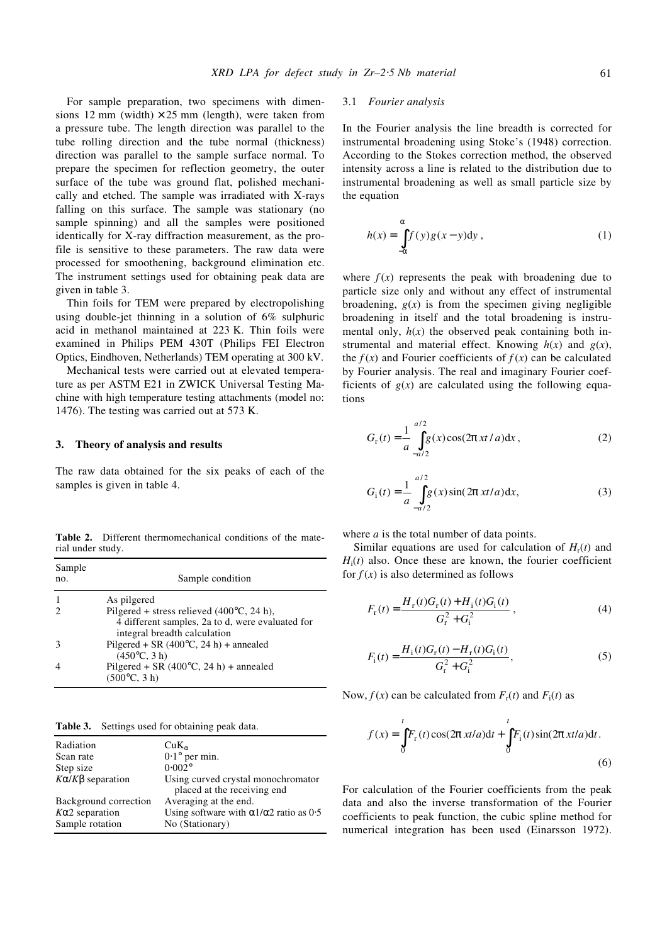For sample preparation, two specimens with dimensions 12 mm (width)  $\times$  25 mm (length), were taken from a pressure tube. The length direction was parallel to the tube rolling direction and the tube normal (thickness) direction was parallel to the sample surface normal. To prepare the specimen for reflection geometry, the outer surface of the tube was ground flat, polished mechanically and etched. The sample was irradiated with X-rays falling on this surface. The sample was stationary (no sample spinning) and all the samples were positioned identically for X-ray diffraction measurement, as the profile is sensitive to these parameters. The raw data were processed for smoothening, background elimination etc. The instrument settings used for obtaining peak data are given in table 3.

Thin foils for TEM were prepared by electropolishing using double-jet thinning in a solution of 6% sulphuric acid in methanol maintained at 223 K. Thin foils were examined in Philips PEM 430T (Philips FEI Electron Optics, Eindhoven, Netherlands) TEM operating at 300 kV.

Mechanical tests were carried out at elevated temperature as per ASTM E21 in ZWICK Universal Testing Machine with high temperature testing attachments (model no: 1476). The testing was carried out at 573 K.

### **3. Theory of analysis and results**

The raw data obtained for the six peaks of each of the samples is given in table 4.

**Table 2.** Different thermomechanical conditions of the material under study.

| Sample<br>no. | Sample condition                                                                                                                        |
|---------------|-----------------------------------------------------------------------------------------------------------------------------------------|
|               | As pilgered                                                                                                                             |
|               | Pilgered + stress relieved $(400^{\circ}C, 24 h)$ ,<br>4 different samples, 2a to d, were evaluated for<br>integral breadth calculation |
| 3             | Pilgered + SR $(400^{\circ}C, 24 h)$ + annealed<br>$(450^{\circ}C, 3h)$                                                                 |
|               | Pilgered + SR $(400^{\circ}C, 24 h)$ + annealed<br>$(500^{\circ}C, 3 h)$                                                                |

**Table 3.** Settings used for obtaining peak data.

| Radiation                                | $CuK_{\alpha}$                                                                       |
|------------------------------------------|--------------------------------------------------------------------------------------|
| Scan rate                                | $0.1^{\circ}$ per min.                                                               |
| Step size<br>$K\alpha/K\beta$ separation | $0.002^{\circ}$<br>Using curved crystal monochromator<br>placed at the receiving end |
| Background correction                    | Averaging at the end.                                                                |
| $K\alpha$ 2 separation                   | Using software with $\alpha$ 1/ $\alpha$ 2 ratio as 0.5                              |
| Sample rotation                          | No (Stationary)                                                                      |

#### 3.1 *Fourier analysis*

In the Fourier analysis the line breadth is corrected for instrumental broadening using Stoke's (1948) correction. According to the Stokes correction method, the observed intensity across a line is related to the distribution due to instrumental broadening as well as small particle size by the equation

$$
h(x) = \int_{-\alpha}^{\alpha} f(y)g(x - y)dy,
$$
 (1)

where  $f(x)$  represents the peak with broadening due to particle size only and without any effect of instrumental broadening,  $g(x)$  is from the specimen giving negligible broadening in itself and the total broadening is instrumental only,  $h(x)$  the observed peak containing both instrumental and material effect. Knowing  $h(x)$  and  $g(x)$ , the  $f(x)$  and Fourier coefficients of  $f(x)$  can be calculated by Fourier analysis. The real and imaginary Fourier coefficients of  $g(x)$  are calculated using the following equations

$$
G_{\rm r}(t) = \frac{1}{a} \int_{-a/2}^{a/2} g(x) \cos(2\pi xt/a) \mathrm{d}x, \qquad (2)
$$

$$
G_{i}(t) = \frac{1}{a} \int_{-a/2}^{a/2} g(x) \sin(2\pi xt/a) dx,
$$
 (3)

where *a* is the total number of data points.

Similar equations are used for calculation of  $H_r(t)$  and  $H_i(t)$  also. Once these are known, the fourier coefficient for  $f(x)$  is also determined as follows

$$
F_{\rm r}(t) = \frac{H_{\rm r}(t)G_{\rm r}(t) + H_{\rm i}(t)G_{\rm i}(t)}{G_{\rm r}^2 + G_{\rm i}^2},\tag{4}
$$

$$
F_{\rm i}(t) = \frac{H_{\rm i}(t)G_{\rm r}(t) - H_{\rm r}(t)G_{\rm i}(t)}{G_{\rm r}^2 + G_{\rm i}^2},\tag{5}
$$

Now,  $f(x)$  can be calculated from  $F<sub>r</sub>(t)$  and  $F<sub>i</sub>(t)$  as

$$
f(x) = \int_{0}^{t} F_{r}(t) \cos(2\pi xt/a) dt + \int_{0}^{t} F_{i}(t) \sin(2\pi xt/a) dt.
$$
\n(6)

For calculation of the Fourier coefficients from the peak data and also the inverse transformation of the Fourier coefficients to peak function, the cubic spline method for numerical integration has been used (Einarsson 1972).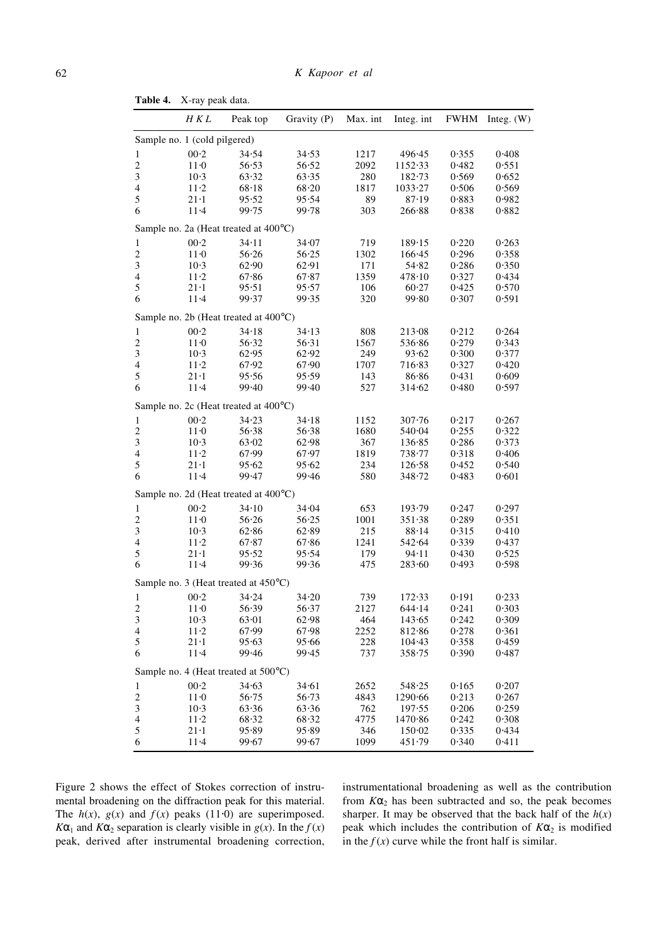|                              | HKL      | Peak top                                        | Gravity (P) | Max. int | Integ. int | <b>FWHM</b> | Integ. $(W)$ |
|------------------------------|----------|-------------------------------------------------|-------------|----------|------------|-------------|--------------|
| Sample no. 1 (cold pilgered) |          |                                                 |             |          |            |             |              |
| 1                            | $00 - 2$ | 34.54                                           | 34.53       | 1217     | 496.45     | 0.355       | 0.408        |
| $\overline{c}$               | $11-0$   | 56.53                                           | 56.52       | 2092     | 1152.33    | 0.482       | 0.551        |
| 3                            | $10-3$   | 63.32                                           | 63.35       | 280      | 182.73     | 0.569       | 0.652        |
| $\overline{4}$               | $11-2$   | 68.18                                           | 68.20       | 1817     | 1033.27    | 0.506       | 0.569        |
| 5                            | $21 - 1$ | 95.52                                           | 95.54       | 89       | 87.19      | 0.883       | 0.982        |
| 6                            | $11-4$   | 99.75                                           | 99.78       | 303      | 266.88     | 0.838       | 0.882        |
|                              |          | Sample no. 2a (Heat treated at $400^{\circ}$ C) |             |          |            |             |              |
| $\,1$                        | $00-2$   | 34.11                                           | 34.07       | 719      | 189.15     | 0.220       | 0.263        |
| $\overline{c}$               | $11-0$   | 56.26                                           | 56.25       | 1302     | 166.45     | 0.296       | 0.358        |
| 3                            | $10-3$   | 62.90                                           | 62.91       | 171      | 54.82      | 0.286       | 0.350        |
| $\overline{4}$               | $11-2$   | 67.86                                           | 67.87       | 1359     | 478.10     | 0.327       | 0.434        |
| 5                            | $21 - 1$ | 95.51                                           | 95.57       | 106      | 60.27      | 0.425       | 0.570        |
| 6                            | $11-4$   | 99.37                                           | 99.35       | 320      | 99.80      | 0.307       | 0.591        |
|                              |          |                                                 |             |          |            |             |              |
|                              |          | Sample no. 2b (Heat treated at $400^{\circ}$ C) |             |          |            |             |              |
| $\mathbf{1}$                 | $00-2$   | 34.18                                           | 34.13       | 808      | 213.08     | 0.212       | 0.264        |
| $\overline{c}$               | $11-0$   | 56.32                                           | 56.31       | 1567     | 536.86     | 0.279       | 0.343        |
| 3                            | $10-3$   | 62.95                                           | 62.92       | 249      | 93.62      | 0.300       | 0.377        |
| $\overline{4}$               | $11-2$   | 67.92                                           | 67.90       | 1707     | 716.83     | 0.327       | 0.420        |
| 5                            | $21 - 1$ | 95.56                                           | 95.59       | 143      | 86.86      | 0.431       | 0.609        |
| 6                            | $11-4$   | 99.40                                           | 99.40       | 527      | 314.62     | 0.480       | 0.597        |
|                              |          | Sample no. 2c (Heat treated at 400°C)           |             |          |            |             |              |
| 1                            | $00-2$   | 34.23                                           | 34.18       | 1152     | 307.76     | 0.217       | 0.267        |
| $\overline{c}$               | $11-0$   | 56.38                                           | 56.38       | 1680     | 540.04     | 0.255       | 0.322        |
| 3                            | $10-3$   | 63.02                                           | 62.98       | 367      | 136.85     | 0.286       | 0.373        |
| $\overline{4}$               | $11-2$   | 67.99                                           | 67.97       | 1819     | 738.77     | 0.318       | 0.406        |
| 5                            | $21 - 1$ | 95.62                                           | 95.62       | 234      | 126.58     | 0.452       | 0.540        |
| 6                            | $11-4$   | 99.47                                           | 99.46       | 580      | 348.72     | 0.483       | 0.601        |
|                              |          | Sample no. 2d (Heat treated at 400°C)           |             |          |            |             |              |
| 1                            | $00 - 2$ | 34.10                                           | 34.04       | 653      | 193.79     | 0.247       | 0.297        |
| $\overline{\mathbf{c}}$      | $11-0$   | 56.26                                           | 56.25       | 1001     | 351.38     | 0.289       | 0.351        |
| 3                            | $10-3$   | 62.86                                           | 62.89       | 215      | 88.14      | 0.315       | 0.410        |
| $\overline{4}$               | $11-2$   | 67.87                                           | 67.86       | 1241     | 542.64     | 0.339       | 0.437        |
| 5                            | $21 - 1$ | 95.52                                           | 95.54       | 179      | 94.11      | 0.430       | 0.525        |
| 6                            | $11-4$   | 99.36                                           | 99.36       | 475      | 283.60     | 0.493       | 0.598        |
|                              |          |                                                 |             |          |            |             |              |
|                              |          | Sample no. 3 (Heat treated at 450°C)            |             |          |            |             |              |
| 1                            | $00 - 2$ | 34.24                                           | 34.20       | 739      | 172.33     | 0.191       | 0.233        |
| $\overline{\mathbf{c}}$      | $11-0$   | 56.39                                           | 56.37       | 2127     | 644.14     | 0.241       | 0.303        |
| 3                            | $10-3$   | 63.01                                           | 62.98       | 464      | 143.65     | 0.242       | 0.309        |
| $\overline{\mathcal{L}}$     | $11-2$   | 67.99                                           | 67.98       | 2252     | 812.86     | 0.278       | 0.361        |
| 5                            | $21 - 1$ | 95.63                                           | 95.66       | 228      | 104.43     | 0.358       | 0.459        |
| 6                            | $11-4$   | 99.46                                           | 99.45       | 737      | 358.75     | 0.390       | 0.487        |
|                              |          | Sample no. 4 (Heat treated at $500^{\circ}$ C)  |             |          |            |             |              |
| $\mathbf{1}$                 | $00-2$   | 34.63                                           | 34.61       | 2652     | 548.25     | 0.165       | 0.207        |
| $\overline{\mathbf{c}}$      | $11-0$   | $56 - 75$                                       | $56 - 73$   | 4843     | 1290.66    | 0.213       | 0.267        |
| 3                            | $10-3$   | 63.36                                           | 63.36       | 762      | 197.55     | 0.206       | 0.259        |
| $\overline{\mathcal{L}}$     | $11-2$   | 68.32                                           | 68.32       | 4775     | 1470.86    | 0.242       | 0.308        |
| 5                            | $21 - 1$ | 95.89                                           | 95.89       | 346      | 150.02     | 0.335       | 0.434        |
| 6                            | $11-4$   | 99.67                                           | 99.67       | 1099     | 451.79     | 0.340       | 0.411        |

**Table 4.** X-ray peak data.

Figure 2 shows the effect of Stokes correction of instrumental broadening on the diffraction peak for this material. The  $h(x)$ ,  $g(x)$  and  $f(x)$  peaks (11⋅0) are superimposed. *K* $\alpha_1$  and *K* $\alpha_2$  separation is clearly visible in *g*(*x*). In the *f*(*x*) peak, derived after instrumental broadening correction, instrumentational broadening as well as the contribution from  $K\alpha_2$  has been subtracted and so, the peak becomes sharper. It may be observed that the back half of the  $h(x)$ peak which includes the contribution of  $K\alpha_2$  is modified in the  $f(x)$  curve while the front half is similar.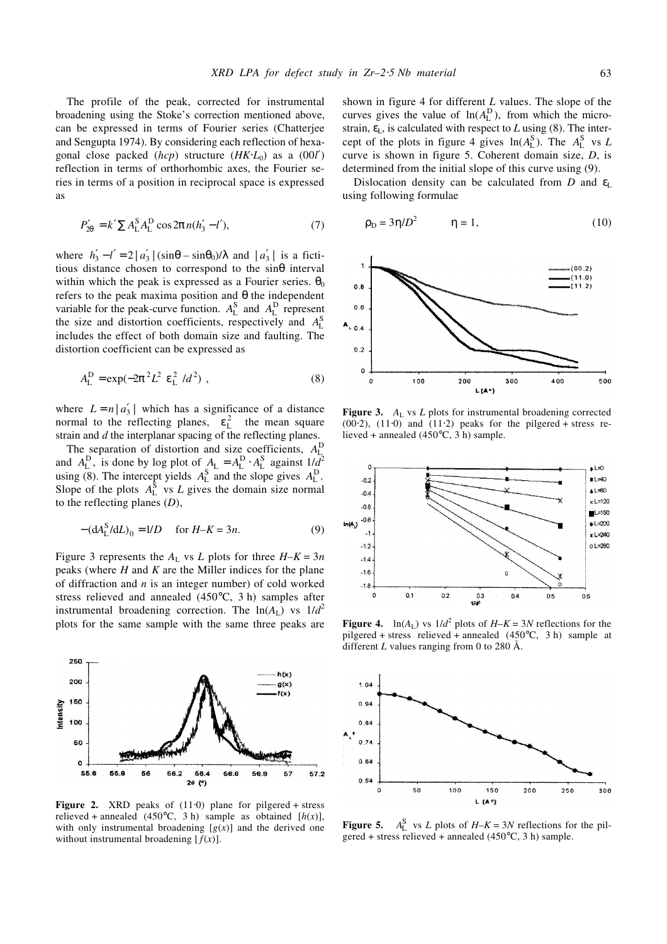The profile of the peak, corrected for instrumental broadening using the Stoke's correction mentioned above, can be expressed in terms of Fourier series (Chatterjee and Sengupta 1974). By considering each reflection of hexagonal close packed (*hcp*) structure (*HK*⋅*L*0) as a (00*l*′) reflection in terms of orthorhombic axes, the Fourier series in terms of a position in reciprocal space is expressed as

$$
P'_{2\theta} = k' \sum A_{\text{L}}^{\text{S}} A_{\text{L}}^{\text{D}} \cos 2\pi n (h'_3 - l'),\tag{7}
$$

where  $h'_3 - l' = 2 | a'_3 | (\sin \theta - \sin \theta_0)/\lambda$  and  $| a'_3 |$  is a fictitious distance chosen to correspond to the sinθ interval within which the peak is expressed as a Fourier series.  $\theta_0$ refers to the peak maxima position and θ the independent variable for the peak-curve function.  $A_L^S$  and  $A_L^D$  represent the size and distortion coefficients, respectively and  $A_L^S$ includes the effect of both domain size and faulting. The distortion coefficient can be expressed as

$$
A_{\rm L}^{\rm D} = \exp(-2\pi^2 L^2 \langle \varepsilon_{\rm L}^2 \rangle / d^2) \tag{8}
$$

where  $L = n | a_3 |$  which has a significance of a distance normal to the reflecting planes,  $\langle \varepsilon_L^2 \rangle$  the mean square strain and *d* the interplanar spacing of the reflecting planes.

The separation of distortion and size coefficients,  $A_L^D$ and  $A_L^D$ , is done by log plot of  $A_L = A_L^D \cdot A_L^S$  against  $1/\overline{d}^2$ using (8). The intercept yields  $A_L^S$  and the slope gives  $A_L^D$ . Slope of the plots  $A_L^{\bar{S}}$  vs *L* gives the domain size normal to the reflecting planes (*D*),

$$
-(dA_L^S/dL)_0 = 1/D \quad \text{ for } H-K = 3n. \tag{9}
$$

Figure 3 represents the  $A_L$  vs  $L$  plots for three  $H-K = 3n$ peaks (where *H* and *K* are the Miller indices for the plane of diffraction and *n* is an integer number) of cold worked stress relieved and annealed (450°C, 3 h) samples after instrumental broadening correction. The  $ln(A_L)$  vs  $1/d^2$ plots for the same sample with the same three peaks are



Figure 2. XRD peaks of (11.0) plane for pilgered + stress relieved + annealed (450°C, 3 h) sample as obtained  $[h(x)]$ , with only instrumental broadening  $[g(x)]$  and the derived one without instrumental broadening  $[f(x)]$ .

shown in figure 4 for different *L* values. The slope of the curves gives the value of  $ln(A_L^D)$ , from which the microstrain,  $\varepsilon_L$ , is calculated with respect to *L* using (8). The intercept of the plots in figure 4 gives  $ln(A_L^S)$ . The  $A_L^S$  vs *L* curve is shown in figure 5. Coherent domain size, *D*, is determined from the initial slope of this curve using (9).

Dislocation density can be calculated from  $D$  and  $\varepsilon_{\text{L}}$ using following formulae

$$
\rho_D = 3\eta/D^2 \qquad \eta = 1, \tag{10}
$$



Figure 3. *A*<sub>L</sub> vs *L* plots for instrumental broadening corrected  $(00.2)$ ,  $(11.0)$  and  $(11.2)$  peaks for the pilgered + stress relieved + annealed (450°C, 3 h) sample.



**Figure 4.**  $\ln(A_L)$  vs  $1/d^2$  plots of  $H-K = 3N$  reflections for the pilgered + stress relieved + annealed (450°C, 3 h) sample at different *L* values ranging from 0 to 280 Å.



**Figure 5.**  $A_L^S$  vs *L* plots of  $H-K = 3N$  reflections for the pilgered + stress relieved + annealed  $(450^{\circ}C, 3 h)$  sample.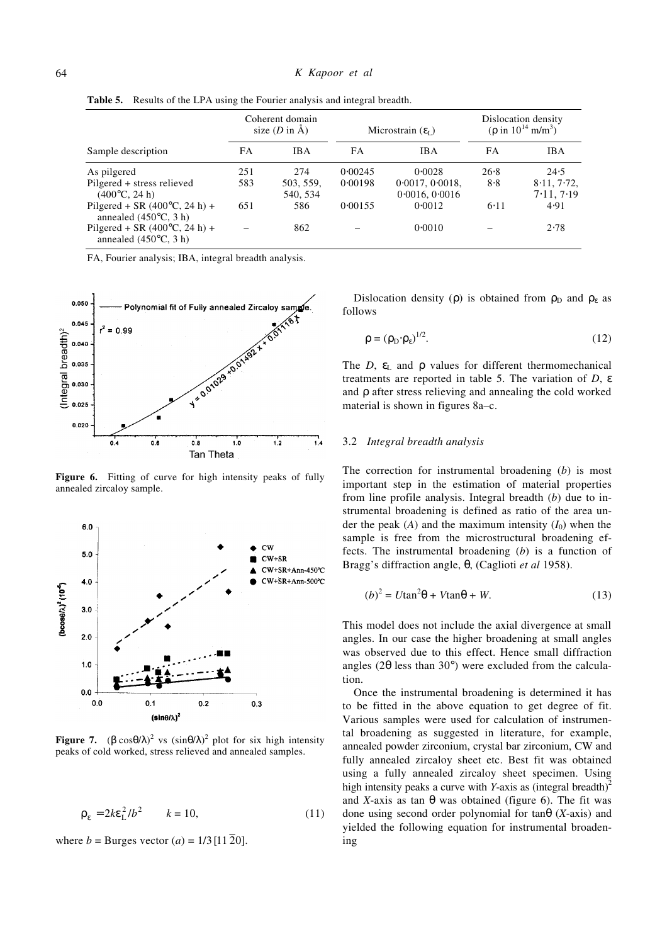**Table 5.** Results of the LPA using the Fourier analysis and integral breadth.

|                                                                          |     | Coherent domain<br>size $(D \text{ in } A)$ | Microstrain $(\epsilon_{I})$ |                                   | Dislocation density<br>( $\rho$ in $10^{14}$ m/m <sup>3</sup> ) |                           |
|--------------------------------------------------------------------------|-----|---------------------------------------------|------------------------------|-----------------------------------|-----------------------------------------------------------------|---------------------------|
| Sample description                                                       | FA  | <b>IBA</b>                                  | FA                           | <b>IBA</b>                        | FA                                                              | <b>IBA</b>                |
| As pilgered                                                              | 251 | 274                                         | 0.00245                      | 0.0028                            | 26.8                                                            | 24.5                      |
| Pilgered + stress relieved<br>$(400^{\circ}C, 24h)$                      | 583 | 503, 559,<br>540, 534                       | 0.00198                      | 0.0017, 0.0018,<br>0.0016, 0.0016 | 8.8                                                             | 8.11, 7.72,<br>7.11, 7.19 |
| Pilgered + SR $(400^{\circ}C, 24 h)$ +<br>annealed $(450^{\circ}C, 3 h)$ | 651 | 586                                         | 0.00155                      | 0.0012                            | 6.11                                                            | 4.91                      |
| Pilgered + SR $(400^{\circ}C, 24 h)$ +<br>annealed $(450^{\circ}C, 3 h)$ |     | 862                                         |                              | 0.0010                            |                                                                 | 2.78                      |

FA, Fourier analysis; IBA, integral breadth analysis.



**Figure 6.** Fitting of curve for high intensity peaks of fully annealed zircaloy sample.



**Figure 7.**  $(\beta \cos\theta/\lambda)^2$  vs  $(\sin\theta/\lambda)^2$  plot for six high intensity peaks of cold worked, stress relieved and annealed samples.

$$
\rho_{\varepsilon} = 2k\varepsilon_{\rm L}^2/b^2 \qquad k = 10,\tag{11}
$$

where  $b = B_0$  vector  $(a) = 1/3[11\overline{2}0]$ .

Dislocation density ( $\rho$ ) is obtained from  $\rho_D$  and  $\rho_{\varepsilon}$  as follows

$$
\rho = (\rho_D \cdot \rho_{\varepsilon})^{1/2}.
$$
 (12)

The  $D$ ,  $\varepsilon_L$  and  $\rho$  values for different thermomechanical treatments are reported in table 5. The variation of *D*, ε and ρ after stress relieving and annealing the cold worked material is shown in figures 8a–c.

# 3.2 *Integral breadth analysis*

The correction for instrumental broadening (*b*) is most important step in the estimation of material properties from line profile analysis. Integral breadth (*b*) due to instrumental broadening is defined as ratio of the area under the peak  $(A)$  and the maximum intensity  $(I_0)$  when the sample is free from the microstructural broadening effects. The instrumental broadening (*b*) is a function of Bragg's diffraction angle, θ, (Caglioti *et al* 1958).

$$
(b)^2 = U \tan^2 \theta + V \tan \theta + W. \tag{13}
$$

This model does not include the axial divergence at small angles. In our case the higher broadening at small angles was observed due to this effect. Hence small diffraction angles (2θ less than 30°) were excluded from the calculation.

Once the instrumental broadening is determined it has to be fitted in the above equation to get degree of fit. Various samples were used for calculation of instrumental broadening as suggested in literature, for example, annealed powder zirconium, crystal bar zirconium, CW and fully annealed zircaloy sheet etc. Best fit was obtained using a fully annealed zircaloy sheet specimen. Using high intensity peaks a curve with *Y*-axis as (integral breadth)<sup>2</sup> and *X*-axis as tan  $\theta$  was obtained (figure 6). The fit was done using second order polynomial for tanθ (*X*-axis) and yielded the following equation for instrumental broadening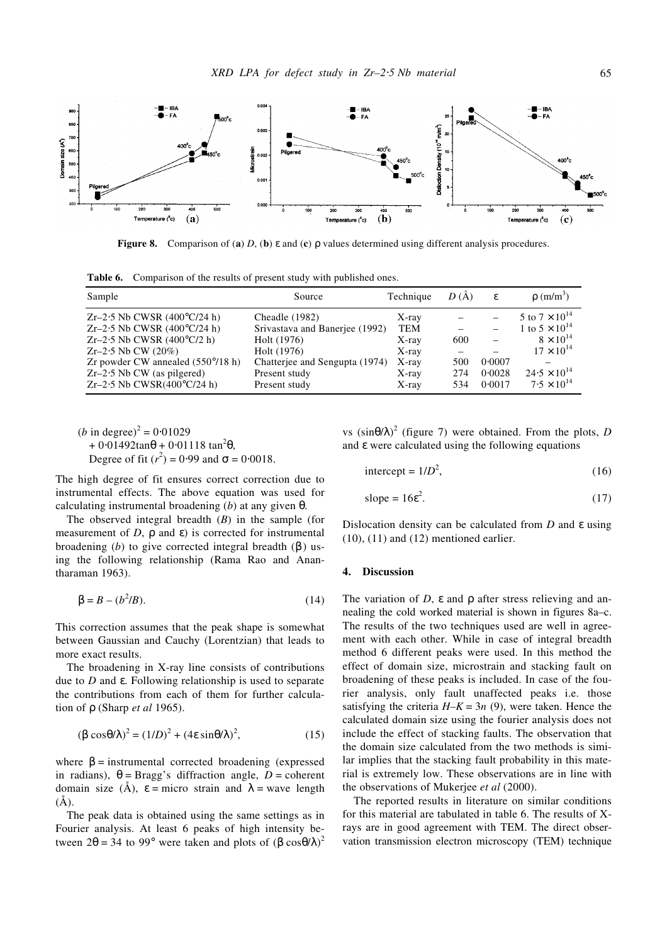

**Figure 8.** Comparison of (**a**) *D*, (**b**) ε and (**c**) *p* values determined using different analysis procedures.

Table 6. Comparison of the results of present study with published ones.

| Sample                                             | Source                         | Technique | D(A) | ε.     | $\rho$ (m/m <sup>3</sup> ) |
|----------------------------------------------------|--------------------------------|-----------|------|--------|----------------------------|
| $Zr-2.5$ Nb CWSR (400 $^{\circ}$ C/24 h)           | Cheadle $(1982)$               | $X$ -ray  |      |        | 5 to $7 \times 10^{14}$    |
| $Zr-2.5$ Nb CWSR (400 $\degree$ C/24 h)            | Srivastava and Banerjee (1992) | TEM       |      |        | 1 to $5 \times 10^{14}$    |
| $Zr-2.5$ Nb CWSR (400 $^{\circ}$ C/2 h)            | Holt (1976)                    | $X$ -ray  | 600  |        | $8 \times 10^{14}$         |
| $Zr-2.5$ Nb CW $(20\%)$                            | Holt (1976)                    | $X$ -ray  |      |        | $17 \times 10^{14}$        |
| Zr powder CW annealed $(550^{\circ}/18 \text{ h})$ | Chatterjee and Sengupta (1974) | $X$ -ray  | 500  | 0.0007 |                            |
| $Zr-2.5$ Nb CW (as pilgered)                       | Present study                  | $X$ -ray  | 274  | 0.0028 | $24.5 \times 10^{14}$      |
| $Zr-2.5$ Nb CWSR(400 $\degree$ C/24 h)             | Present study                  | $X$ -ray  | 534  | 0.0017 | $7.5 \times 10^{14}$       |

 $(b \text{ in degree})^2 = 0.01029$  $+0.01492\tan\theta + 0.01118\tan^2\theta$ , Degree of fit  $(r^2) = 0.99$  and  $σ = 0.0018$ .

The high degree of fit ensures correct correction due to instrumental effects. The above equation was used for calculating instrumental broadening (*b*) at any given θ.

The observed integral breadth (*B*) in the sample (for measurement of  $D$ ,  $\rho$  and  $\varepsilon$ ) is corrected for instrumental broadening (*b*) to give corrected integral breadth ( $\beta$ ) using the following relationship (Rama Rao and Anantharaman 1963).

$$
\beta = B - (b^2/B). \tag{14}
$$

This correction assumes that the peak shape is somewhat between Gaussian and Cauchy (Lorentzian) that leads to more exact results.

The broadening in X-ray line consists of contributions due to *D* and ε. Following relationship is used to separate the contributions from each of them for further calculation of ρ (Sharp *et al* 1965).

$$
(\beta \cos \theta / \lambda)^2 = (1/D)^2 + (4\epsilon \sin \theta / \lambda)^2, \tag{15}
$$

where  $\beta$  = instrumental corrected broadening (expressed in radians),  $\theta$  = Bragg's diffraction angle, *D* = coherent domain size (Å),  $\varepsilon$  = micro strain and  $\lambda$  = wave length (Å).

The peak data is obtained using the same settings as in Fourier analysis. At least 6 peaks of high intensity between 2θ = 34 to 99° were taken and plots of  $(\beta \cos\theta/\lambda)^2$ 

vs (sinθ/λ) 2 (figure 7) were obtained. From the plots, *D* and ε were calculated using the following equations

$$
intercept = 1/D^2, \tag{16}
$$

$$
slope = 16\epsilon^2. \tag{17}
$$

Dislocation density can be calculated from *D* and ε using  $(10)$ ,  $(11)$  and  $(12)$  mentioned earlier.

## **4. Discussion**

The variation of  $D$ ,  $\varepsilon$  and  $\rho$  after stress relieving and annealing the cold worked material is shown in figures 8a–c. The results of the two techniques used are well in agreement with each other. While in case of integral breadth method 6 different peaks were used. In this method the effect of domain size, microstrain and stacking fault on broadening of these peaks is included. In case of the fourier analysis, only fault unaffected peaks i.e. those satisfying the criteria  $H-K = 3n$  (9), were taken. Hence the calculated domain size using the fourier analysis does not include the effect of stacking faults. The observation that the domain size calculated from the two methods is similar implies that the stacking fault probability in this material is extremely low. These observations are in line with the observations of Mukerjee *et al* (2000).

The reported results in literature on similar conditions for this material are tabulated in table 6. The results of Xrays are in good agreement with TEM. The direct observation transmission electron microscopy (TEM) technique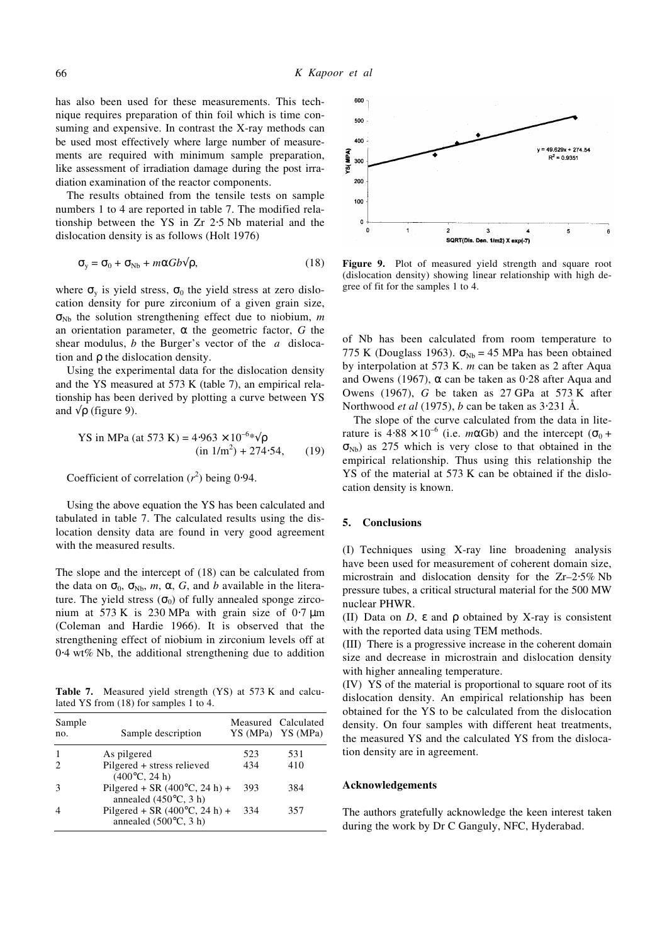has also been used for these measurements. This technique requires preparation of thin foil which is time consuming and expensive. In contrast the X-ray methods can be used most effectively where large number of measurements are required with minimum sample preparation, like assessment of irradiation damage during the post irradiation examination of the reactor components.

The results obtained from the tensile tests on sample numbers 1 to 4 are reported in table 7. The modified relationship between the YS in Zr 2⋅5 Nb material and the dislocation density is as follows (Holt 1976)

$$
\sigma_{y} = \sigma_{0} + \sigma_{Nb} + m\alpha Gb\sqrt{\rho}, \qquad (18)
$$

where  $\sigma_{v}$  is yield stress,  $\sigma_{0}$  the yield stress at zero dislocation density for pure zirconium of a given grain size,  $\sigma_{Nb}$  the solution strengthening effect due to niobium, *m* an orientation parameter,  $\alpha$  the geometric factor, *G* the shear modulus, *b* the Burger's vector of the  $\langle a \rangle$  dislocation and ρ the dislocation density.

Using the experimental data for the dislocation density and the YS measured at 573 K (table 7), an empirical relationship has been derived by plotting a curve between YS and  $\sqrt{\rho}$  (figure 9).

$$
YS in MPa (at 573 K) = 4.963 \times 10^{-6} * \sqrt{p}
$$
  
(in 1/m<sup>2</sup>) + 274.54, (19)

Coefficient of correlation  $(r^2)$  being 0⋅94.

Using the above equation the YS has been calculated and tabulated in table 7. The calculated results using the dislocation density data are found in very good agreement with the measured results.

The slope and the intercept of (18) can be calculated from the data on  $\sigma_0$ ,  $\sigma_{Nb}$ , *m*,  $\alpha$ , *G*, and *b* available in the literature. The yield stress  $(\sigma_0)$  of fully annealed sponge zirconium at 573 K is 230 MPa with grain size of  $0.7 \mu m$ (Coleman and Hardie 1966). It is observed that the strengthening effect of niobium in zirconium levels off at 0⋅4 wt% Nb, the additional strengthening due to addition

**Table 7.** Measured yield strength (YS) at 573 K and calculated YS from (18) for samples 1 to 4.

| Sample<br>no.  | Sample description                                                       |     | Measured Calculated<br>YS (MPa) YS (MPa) |
|----------------|--------------------------------------------------------------------------|-----|------------------------------------------|
| 1              | As pilgered                                                              | 523 | 531                                      |
| $\overline{c}$ | Pilgered + stress relieved<br>$(400^{\circ}C, 24h)$                      | 434 | 410                                      |
| 3              | Pilgered + SR $(400^{\circ}C, 24 h)$ +<br>annealed $(450^{\circ}C, 3 h)$ | 393 | 384                                      |
| $\overline{4}$ | Pilgered + SR $(400^{\circ}C, 24 h)$ +<br>annealed $(500^{\circ}C, 3 h)$ | 334 | 357                                      |



**Figure 9.** Plot of measured yield strength and square root (dislocation density) showing linear relationship with high degree of fit for the samples 1 to 4.

of Nb has been calculated from room temperature to 775 K (Douglass 1963).  $\sigma_{Nb} = 45$  MPa has been obtained by interpolation at 573 K. *m* can be taken as 2 after Aqua and Owens (1967),  $\alpha$  can be taken as 0⋅28 after Aqua and Owens (1967), *G* be taken as 27 GPa at 573 K after Northwood *et al* (1975), *b* can be taken as 3⋅231 Å.

The slope of the curve calculated from the data in literature is  $4.88 \times 10^{-6}$  (i.e. *m*αGb) and the intercept ( $\sigma_0$  +  $\sigma_{Nb}$ ) as 275 which is very close to that obtained in the empirical relationship. Thus using this relationship the YS of the material at 573 K can be obtained if the dislocation density is known.

# **5. Conclusions**

(I) Techniques using X-ray line broadening analysis have been used for measurement of coherent domain size, microstrain and dislocation density for the Zr–2⋅5% Nb pressure tubes, a critical structural material for the 500 MW nuclear PHWR.

(II) Data on *D*, ε and ρ obtained by X-ray is consistent with the reported data using TEM methods.

(III) There is a progressive increase in the coherent domain size and decrease in microstrain and dislocation density with higher annealing temperature.

(IV) YS of the material is proportional to square root of its dislocation density. An empirical relationship has been obtained for the YS to be calculated from the dislocation density. On four samples with different heat treatments, the measured YS and the calculated YS from the dislocation density are in agreement.

#### **Acknowledgements**

The authors gratefully acknowledge the keen interest taken during the work by Dr C Ganguly, NFC, Hyderabad.